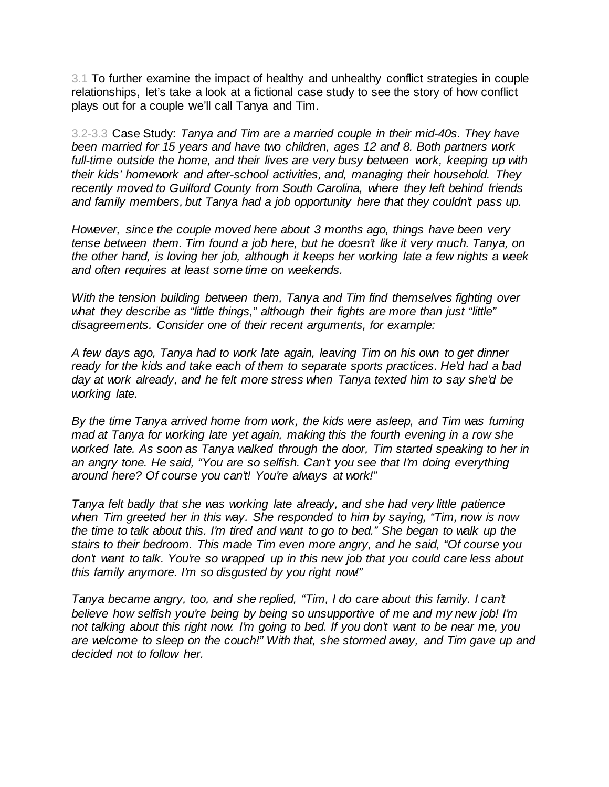3.1 To further examine the impact of healthy and unhealthy conflict strategies in couple relationships, let's take a look at a fictional case study to see the story of how conflict plays out for a couple we'll call Tanya and Tim.

3.2-3.3 Case Study: *Tanya and Tim are a married couple in their mid-40s. They have been married for 15 years and have two children, ages 12 and 8. Both partners work full-time outside the home, and their lives are very busy between work, keeping up with their kids' homework and after-school activities, and, managing their household. They recently moved to Guilford County from South Carolina, where they left behind friends and family members, but Tanya had a job opportunity here that they couldn't pass up.*

*However, since the couple moved here about 3 months ago, things have been very tense between them. Tim found a job here, but he doesn't like it very much. Tanya, on the other hand, is loving her job, although it keeps her working late a few nights a week and often requires at least some time on weekends.*

*With the tension building between them, Tanya and Tim find themselves fighting over what they describe as "little things," although their fights are more than just "little" disagreements. Consider one of their recent arguments, for example:*

*A few days ago, Tanya had to work late again, leaving Tim on his own to get dinner ready for the kids and take each of them to separate sports practices. He'd had a bad day at work already, and he felt more stress when Tanya texted him to say she'd be working late.*

*By the time Tanya arrived home from work, the kids were asleep, and Tim was fuming mad at Tanya for working late yet again, making this the fourth evening in a row she worked late. As soon as Tanya walked through the door, Tim started speaking to her in an angry tone. He said, "You are so selfish. Can't you see that I'm doing everything around here? Of course you can't! You're always at work!"*

*Tanya felt badly that she was working late already, and she had very little patience when Tim greeted her in this way. She responded to him by saying, "Tim, now is now the time to talk about this. I'm tired and want to go to bed." She began to walk up the stairs to their bedroom. This made Tim even more angry, and he said, "Of course you don't want to talk. You're so wrapped up in this new job that you could care less about this family anymore. I'm so disgusted by you right now!"*

*Tanya became angry, too, and she replied, "Tim, I do care about this family. I can't believe how selfish you're being by being so unsupportive of me and my new job! I'm not talking about this right now. I'm going to bed. If you don't want to be near me, you are welcome to sleep on the couch!" With that, she stormed away, and Tim gave up and decided not to follow her.*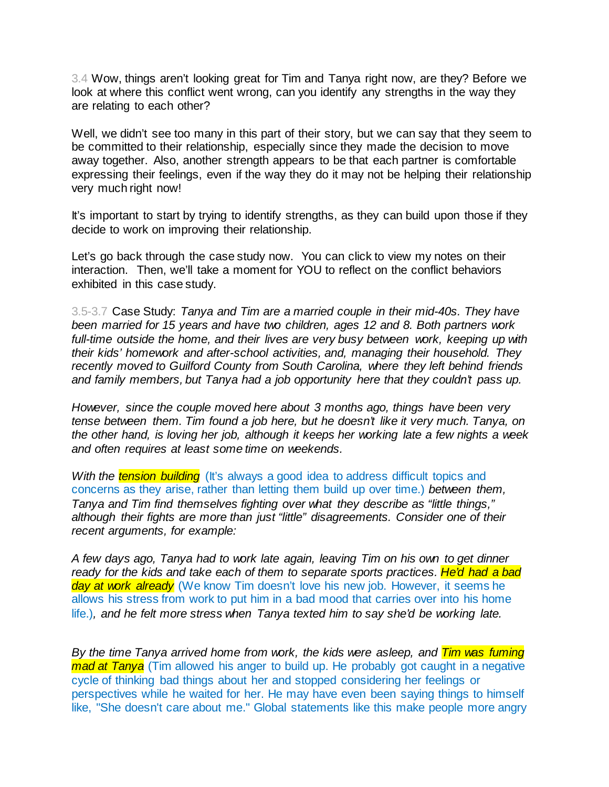3.4 Wow, things aren't looking great for Tim and Tanya right now, are they? Before we look at where this conflict went wrong, can you identify any strengths in the way they are relating to each other?

Well, we didn't see too many in this part of their story, but we can say that they seem to be committed to their relationship, especially since they made the decision to move away together. Also, another strength appears to be that each partner is comfortable expressing their feelings, even if the way they do it may not be helping their relationship very much right now!

It's important to start by trying to identify strengths, as they can build upon those if they decide to work on improving their relationship.

Let's go back through the case study now. You can click to view my notes on their interaction. Then, we'll take a moment for YOU to reflect on the conflict behaviors exhibited in this case study.

3.5-3.7 Case Study: *Tanya and Tim are a married couple in their mid-40s. They have been married for 15 years and have two children, ages 12 and 8. Both partners work full-time outside the home, and their lives are very busy between work, keeping up with their kids' homework and after-school activities, and, managing their household. They recently moved to Guilford County from South Carolina, where they left behind friends and family members, but Tanya had a job opportunity here that they couldn't pass up.*

*However, since the couple moved here about 3 months ago, things have been very tense between them. Tim found a job here, but he doesn't like it very much. Tanya, on the other hand, is loving her job, although it keeps her working late a few nights a week and often requires at least some time on weekends.*

*With the tension building* (It's always a good idea to address difficult topics and concerns as they arise, rather than letting them build up over time.) *between them, Tanya and Tim find themselves fighting over what they describe as "little things," although their fights are more than just "little" disagreements. Consider one of their recent arguments, for example:*

*A few days ago, Tanya had to work late again, leaving Tim on his own to get dinner ready for the kids and take each of them to separate sports practices. He'd had a bad day at work already* (We know Tim doesn't love his new job. However, it seems he allows his stress from work to put him in a bad mood that carries over into his home life.)*, and he felt more stress when Tanya texted him to say she'd be working late.*

*By the time Tanya arrived home from work, the kids were asleep, and Tim was fuming mad at Tanya* (Tim allowed his anger to build up. He probably got caught in a negative cycle of thinking bad things about her and stopped considering her feelings or perspectives while he waited for her. He may have even been saying things to himself like, "She doesn't care about me." Global statements like this make people more angry